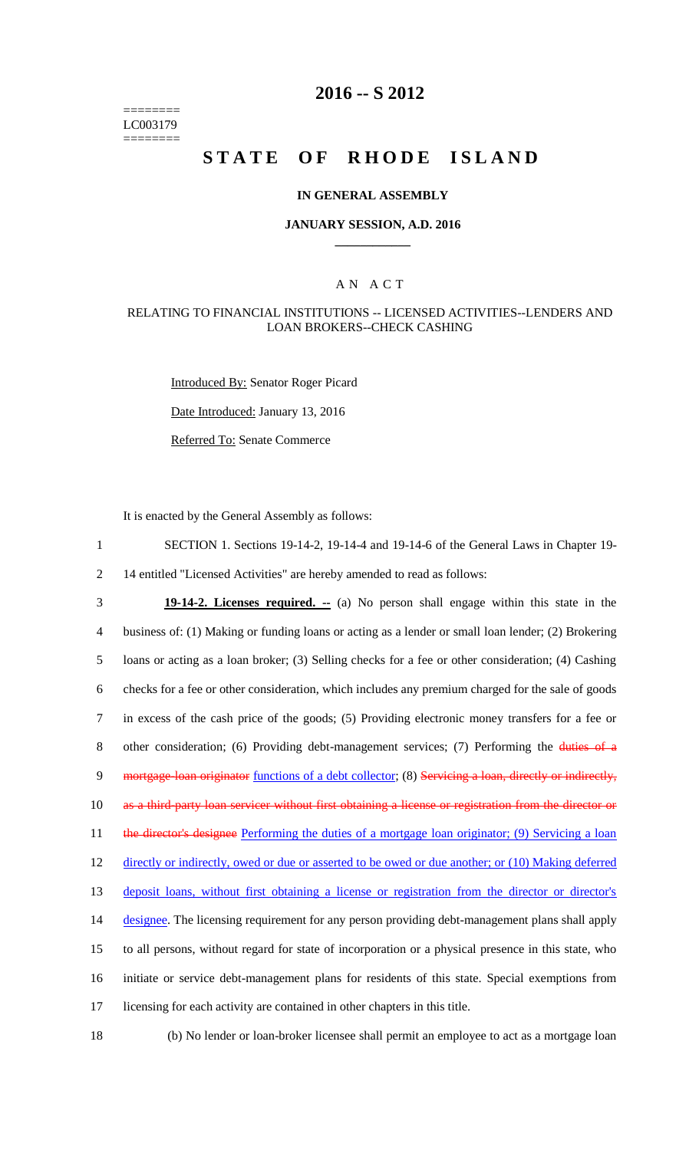======== LC003179 ========

# **2016 -- S 2012**

# **STATE OF RHODE ISLAND**

#### **IN GENERAL ASSEMBLY**

#### **JANUARY SESSION, A.D. 2016 \_\_\_\_\_\_\_\_\_\_\_\_**

#### A N A C T

#### RELATING TO FINANCIAL INSTITUTIONS -- LICENSED ACTIVITIES--LENDERS AND LOAN BROKERS--CHECK CASHING

Introduced By: Senator Roger Picard Date Introduced: January 13, 2016 Referred To: Senate Commerce

It is enacted by the General Assembly as follows:

1 SECTION 1. Sections 19-14-2, 19-14-4 and 19-14-6 of the General Laws in Chapter 19- 2 14 entitled "Licensed Activities" are hereby amended to read as follows:

3 **19-14-2. Licenses required. --** (a) No person shall engage within this state in the 4 business of: (1) Making or funding loans or acting as a lender or small loan lender; (2) Brokering 5 loans or acting as a loan broker; (3) Selling checks for a fee or other consideration; (4) Cashing 6 checks for a fee or other consideration, which includes any premium charged for the sale of goods 7 in excess of the cash price of the goods; (5) Providing electronic money transfers for a fee or 8 other consideration; (6) Providing debt-management services; (7) Performing the duties of a 9 mortgage-loan originator functions of a debt collector; (8) Servicing a loan, directly or indirectly, 10 as a third-party loan servicer without first obtaining a license or registration from the director or 11 the director's designee Performing the duties of a mortgage loan originator; (9) Servicing a loan 12 directly or indirectly, owed or due or asserted to be owed or due another; or (10) Making deferred 13 deposit loans, without first obtaining a license or registration from the director or director's 14 designee. The licensing requirement for any person providing debt-management plans shall apply 15 to all persons, without regard for state of incorporation or a physical presence in this state, who 16 initiate or service debt-management plans for residents of this state. Special exemptions from 17 licensing for each activity are contained in other chapters in this title.

18 (b) No lender or loan-broker licensee shall permit an employee to act as a mortgage loan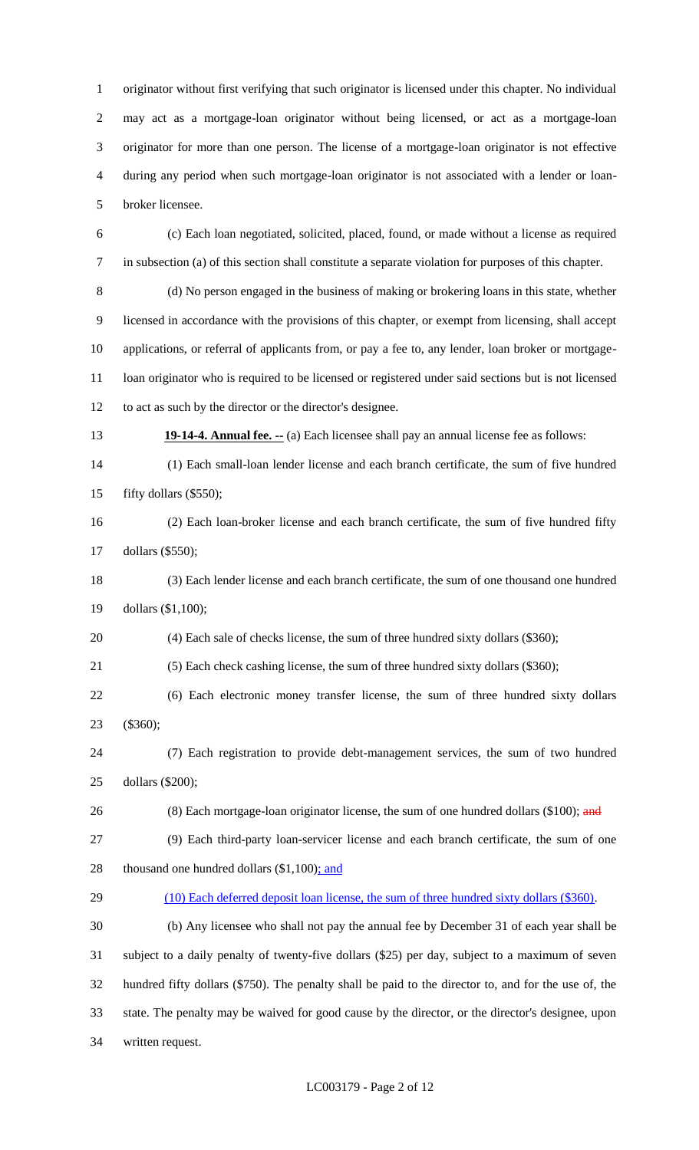originator without first verifying that such originator is licensed under this chapter. No individual may act as a mortgage-loan originator without being licensed, or act as a mortgage-loan originator for more than one person. The license of a mortgage-loan originator is not effective during any period when such mortgage-loan originator is not associated with a lender or loan-broker licensee.

 (c) Each loan negotiated, solicited, placed, found, or made without a license as required in subsection (a) of this section shall constitute a separate violation for purposes of this chapter.

 (d) No person engaged in the business of making or brokering loans in this state, whether licensed in accordance with the provisions of this chapter, or exempt from licensing, shall accept applications, or referral of applicants from, or pay a fee to, any lender, loan broker or mortgage- loan originator who is required to be licensed or registered under said sections but is not licensed to act as such by the director or the director's designee.

**19-14-4. Annual fee.** -- (a) Each licensee shall pay an annual license fee as follows:

 (1) Each small-loan lender license and each branch certificate, the sum of five hundred fifty dollars (\$550);

 (2) Each loan-broker license and each branch certificate, the sum of five hundred fifty dollars (\$550);

 (3) Each lender license and each branch certificate, the sum of one thousand one hundred dollars (\$1,100);

(4) Each sale of checks license, the sum of three hundred sixty dollars (\$360);

(5) Each check cashing license, the sum of three hundred sixty dollars (\$360);

 (6) Each electronic money transfer license, the sum of three hundred sixty dollars (\$360);

 (7) Each registration to provide debt-management services, the sum of two hundred dollars (\$200);

26 (8) Each mortgage-loan originator license, the sum of one hundred dollars (\$100); and

 (9) Each third-party loan-servicer license and each branch certificate, the sum of one 28 thousand one hundred dollars (\$1,100); and

(10) Each deferred deposit loan license, the sum of three hundred sixty dollars (\$360).

 (b) Any licensee who shall not pay the annual fee by December 31 of each year shall be subject to a daily penalty of twenty-five dollars (\$25) per day, subject to a maximum of seven hundred fifty dollars (\$750). The penalty shall be paid to the director to, and for the use of, the state. The penalty may be waived for good cause by the director, or the director's designee, upon written request.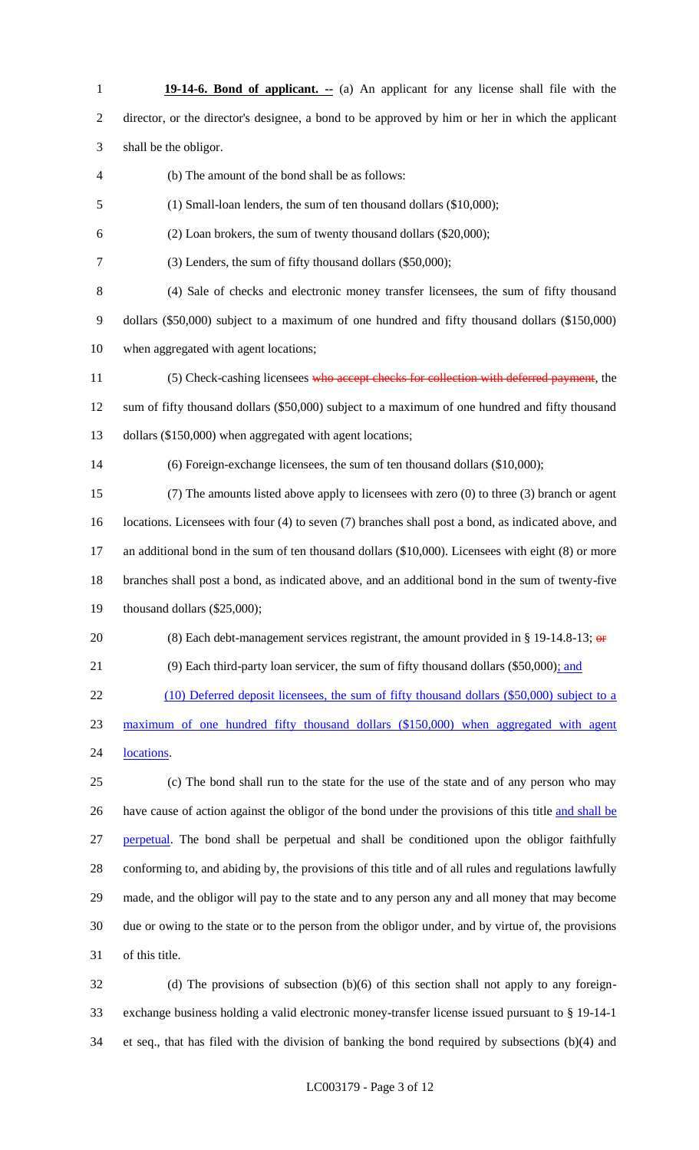**19-14-6. Bond of applicant.** -- (a) An applicant for any license shall file with the director, or the director's designee, a bond to be approved by him or her in which the applicant shall be the obligor. (b) The amount of the bond shall be as follows: (1) Small-loan lenders, the sum of ten thousand dollars (\$10,000); (2) Loan brokers, the sum of twenty thousand dollars (\$20,000); (3) Lenders, the sum of fifty thousand dollars (\$50,000); (4) Sale of checks and electronic money transfer licensees, the sum of fifty thousand dollars (\$50,000) subject to a maximum of one hundred and fifty thousand dollars (\$150,000) when aggregated with agent locations; 11 (5) Check-cashing licensees who accept checks for collection with deferred payment, the sum of fifty thousand dollars (\$50,000) subject to a maximum of one hundred and fifty thousand dollars (\$150,000) when aggregated with agent locations; (6) Foreign-exchange licensees, the sum of ten thousand dollars (\$10,000); (7) The amounts listed above apply to licensees with zero (0) to three (3) branch or agent locations. Licensees with four (4) to seven (7) branches shall post a bond, as indicated above, and an additional bond in the sum of ten thousand dollars (\$10,000). Licensees with eight (8) or more branches shall post a bond, as indicated above, and an additional bond in the sum of twenty-five thousand dollars (\$25,000); 20 (8) Each debt-management services registrant, the amount provided in  $\S$  19-14.8-13;  $\Theta$  (9) Each third-party loan servicer, the sum of fifty thousand dollars (\$50,000); and 22 (10) Deferred deposit licensees, the sum of fifty thousand dollars (\$50,000) subject to a maximum of one hundred fifty thousand dollars (\$150,000) when aggregated with agent 24 locations. (c) The bond shall run to the state for the use of the state and of any person who may 26 have cause of action against the obligor of the bond under the provisions of this title and shall be 27 perpetual. The bond shall be perpetual and shall be conditioned upon the obligor faithfully conforming to, and abiding by, the provisions of this title and of all rules and regulations lawfully made, and the obligor will pay to the state and to any person any and all money that may become due or owing to the state or to the person from the obligor under, and by virtue of, the provisions of this title. (d) The provisions of subsection (b)(6) of this section shall not apply to any foreign-

 exchange business holding a valid electronic money-transfer license issued pursuant to § 19-14-1 et seq., that has filed with the division of banking the bond required by subsections (b)(4) and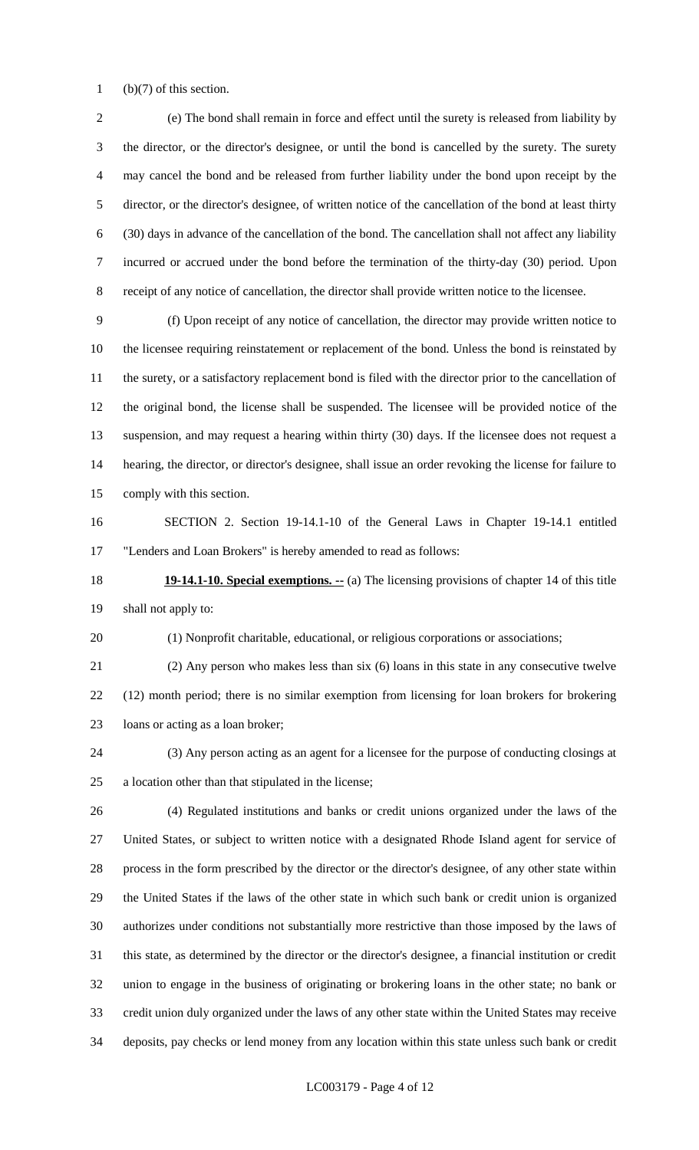(b)(7) of this section.

 (e) The bond shall remain in force and effect until the surety is released from liability by the director, or the director's designee, or until the bond is cancelled by the surety. The surety may cancel the bond and be released from further liability under the bond upon receipt by the director, or the director's designee, of written notice of the cancellation of the bond at least thirty (30) days in advance of the cancellation of the bond. The cancellation shall not affect any liability incurred or accrued under the bond before the termination of the thirty-day (30) period. Upon receipt of any notice of cancellation, the director shall provide written notice to the licensee.

 (f) Upon receipt of any notice of cancellation, the director may provide written notice to the licensee requiring reinstatement or replacement of the bond. Unless the bond is reinstated by the surety, or a satisfactory replacement bond is filed with the director prior to the cancellation of the original bond, the license shall be suspended. The licensee will be provided notice of the suspension, and may request a hearing within thirty (30) days. If the licensee does not request a hearing, the director, or director's designee, shall issue an order revoking the license for failure to comply with this section.

 SECTION 2. Section 19-14.1-10 of the General Laws in Chapter 19-14.1 entitled "Lenders and Loan Brokers" is hereby amended to read as follows:

**19-14.1-10. Special exemptions.** -- (a) The licensing provisions of chapter 14 of this title shall not apply to:

(1) Nonprofit charitable, educational, or religious corporations or associations;

 (2) Any person who makes less than six (6) loans in this state in any consecutive twelve (12) month period; there is no similar exemption from licensing for loan brokers for brokering

loans or acting as a loan broker;

 (3) Any person acting as an agent for a licensee for the purpose of conducting closings at a location other than that stipulated in the license;

 (4) Regulated institutions and banks or credit unions organized under the laws of the United States, or subject to written notice with a designated Rhode Island agent for service of process in the form prescribed by the director or the director's designee, of any other state within the United States if the laws of the other state in which such bank or credit union is organized authorizes under conditions not substantially more restrictive than those imposed by the laws of this state, as determined by the director or the director's designee, a financial institution or credit union to engage in the business of originating or brokering loans in the other state; no bank or credit union duly organized under the laws of any other state within the United States may receive deposits, pay checks or lend money from any location within this state unless such bank or credit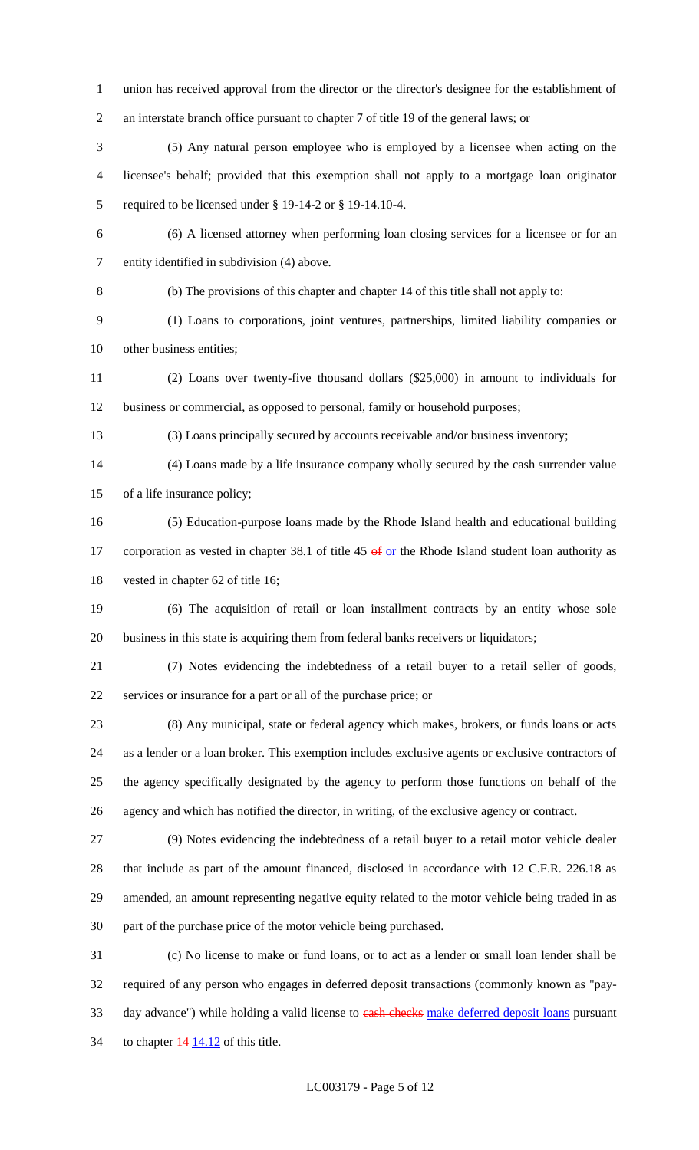union has received approval from the director or the director's designee for the establishment of an interstate branch office pursuant to chapter 7 of title 19 of the general laws; or

 (5) Any natural person employee who is employed by a licensee when acting on the licensee's behalf; provided that this exemption shall not apply to a mortgage loan originator required to be licensed under § 19-14-2 or § 19-14.10-4.

 (6) A licensed attorney when performing loan closing services for a licensee or for an entity identified in subdivision (4) above.

(b) The provisions of this chapter and chapter 14 of this title shall not apply to:

 (1) Loans to corporations, joint ventures, partnerships, limited liability companies or other business entities;

 (2) Loans over twenty-five thousand dollars (\$25,000) in amount to individuals for business or commercial, as opposed to personal, family or household purposes;

(3) Loans principally secured by accounts receivable and/or business inventory;

 (4) Loans made by a life insurance company wholly secured by the cash surrender value of a life insurance policy;

 (5) Education-purpose loans made by the Rhode Island health and educational building 17 corporation as vested in chapter 38.1 of title  $45 \times 10^5$  or the Rhode Island student loan authority as vested in chapter 62 of title 16;

 (6) The acquisition of retail or loan installment contracts by an entity whose sole business in this state is acquiring them from federal banks receivers or liquidators;

 (7) Notes evidencing the indebtedness of a retail buyer to a retail seller of goods, services or insurance for a part or all of the purchase price; or

 (8) Any municipal, state or federal agency which makes, brokers, or funds loans or acts as a lender or a loan broker. This exemption includes exclusive agents or exclusive contractors of the agency specifically designated by the agency to perform those functions on behalf of the agency and which has notified the director, in writing, of the exclusive agency or contract.

 (9) Notes evidencing the indebtedness of a retail buyer to a retail motor vehicle dealer that include as part of the amount financed, disclosed in accordance with 12 C.F.R. 226.18 as amended, an amount representing negative equity related to the motor vehicle being traded in as part of the purchase price of the motor vehicle being purchased.

 (c) No license to make or fund loans, or to act as a lender or small loan lender shall be required of any person who engages in deferred deposit transactions (commonly known as "pay-33 day advance") while holding a valid license to eash checks make deferred deposit loans pursuant 34 to chapter  $\frac{14}{14.12}$  of this title.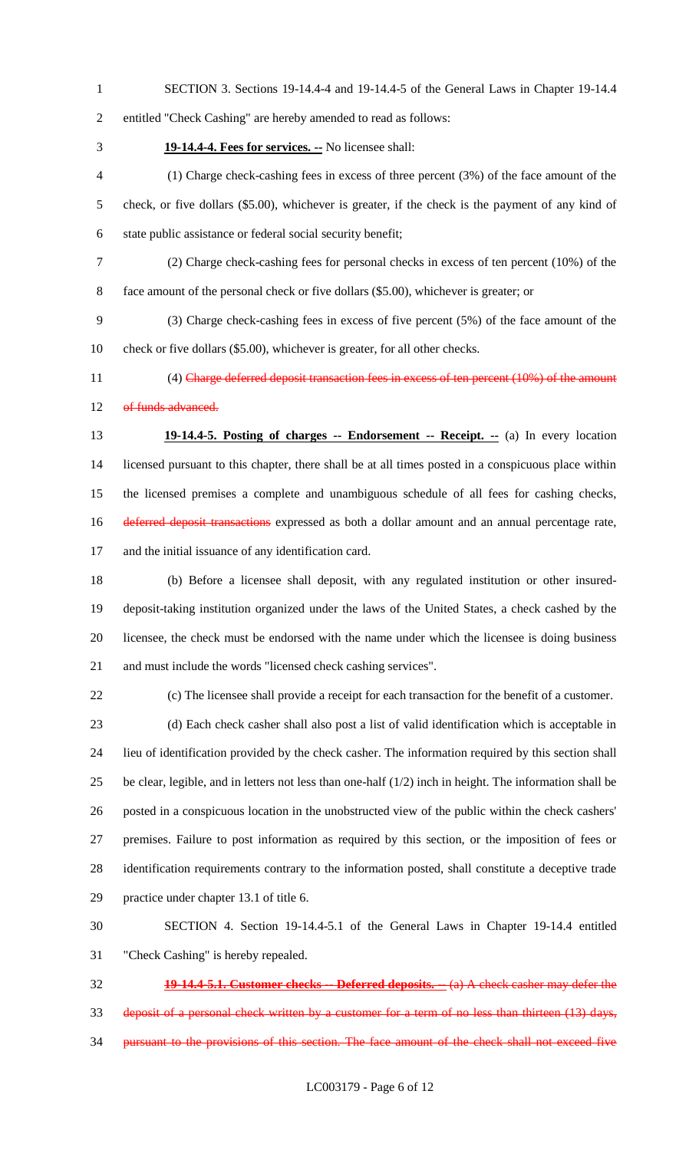SECTION 3. Sections 19-14.4-4 and 19-14.4-5 of the General Laws in Chapter 19-14.4

```
2 entitled "Check Cashing" are hereby amended to read as follows:
```
**19-14.4-4. Fees for services. --** No licensee shall:

 (1) Charge check-cashing fees in excess of three percent (3%) of the face amount of the check, or five dollars (\$5.00), whichever is greater, if the check is the payment of any kind of state public assistance or federal social security benefit;

(2) Charge check-cashing fees for personal checks in excess of ten percent (10%) of the

face amount of the personal check or five dollars (\$5.00), whichever is greater; or

 (3) Charge check-cashing fees in excess of five percent (5%) of the face amount of the check or five dollars (\$5.00), whichever is greater, for all other checks.

11 (4) Charge deferred deposit transaction fees in excess of ten percent (10%) of the amount 12 of funds advanced.

 **19-14.4-5. Posting of charges -- Endorsement -- Receipt. --** (a) In every location licensed pursuant to this chapter, there shall be at all times posted in a conspicuous place within the licensed premises a complete and unambiguous schedule of all fees for cashing checks, 16 deferred deposit transactions expressed as both a dollar amount and an annual percentage rate, and the initial issuance of any identification card.

 (b) Before a licensee shall deposit, with any regulated institution or other insured- deposit-taking institution organized under the laws of the United States, a check cashed by the licensee, the check must be endorsed with the name under which the licensee is doing business and must include the words "licensed check cashing services".

(c) The licensee shall provide a receipt for each transaction for the benefit of a customer.

 (d) Each check casher shall also post a list of valid identification which is acceptable in lieu of identification provided by the check casher. The information required by this section shall 25 be clear, legible, and in letters not less than one-half  $(1/2)$  inch in height. The information shall be posted in a conspicuous location in the unobstructed view of the public within the check cashers' premises. Failure to post information as required by this section, or the imposition of fees or identification requirements contrary to the information posted, shall constitute a deceptive trade practice under chapter 13.1 of title 6.

 SECTION 4. Section 19-14.4-5.1 of the General Laws in Chapter 19-14.4 entitled "Check Cashing" is hereby repealed.

 **19-14.4-5.1. Customer checks -- Deferred deposits. --** (a) A check casher may defer the deposit of a personal check written by a customer for a term of no less than thirteen (13) days, 34 pursuant to the provisions of this section. The face amount of the check shall not exceed five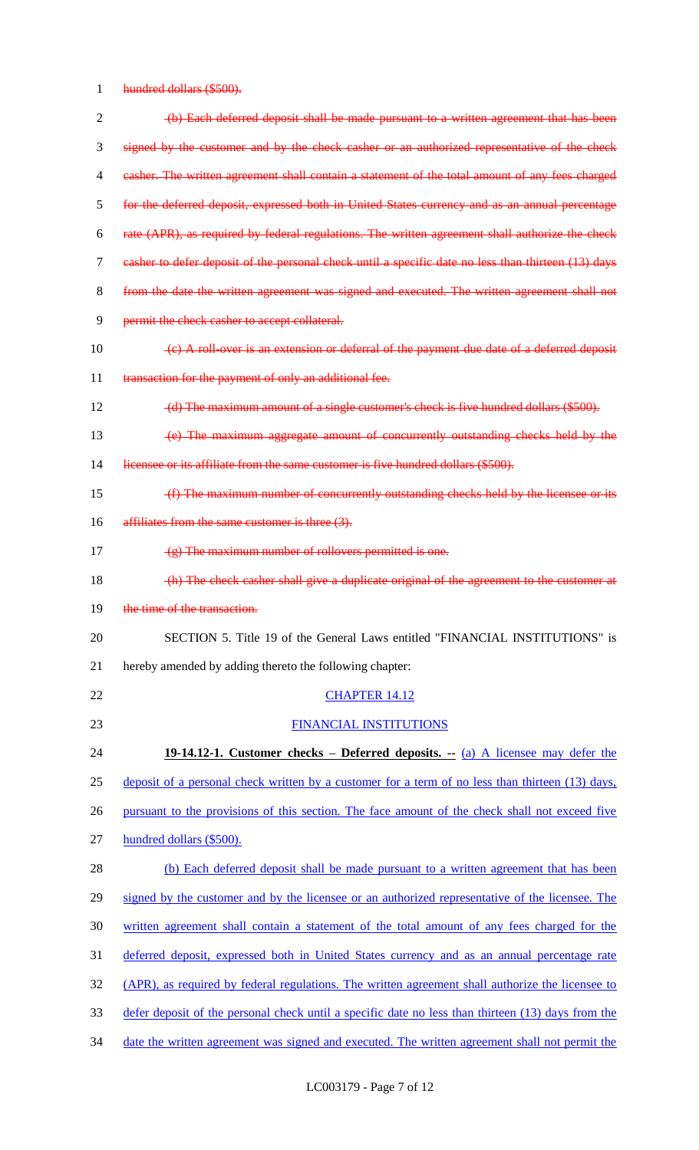hundred dollars (\$500).

| $\overline{2}$ | (b) Each deferred deposit shall be made pursuant to a written agreement that has been                           |
|----------------|-----------------------------------------------------------------------------------------------------------------|
| 3              | signed by the customer and by the check casher or an authorized representative of the check                     |
| 4              | easher. The written agreement shall contain a statement of the total amount of any fees charged                 |
| 5              | for the deferred deposit, expressed both in United States currency and as an annual percentage                  |
| 6              | rate (APR), as required by federal regulations. The written agreement shall authorize the check                 |
| 7              | casher to defer deposit of the personal check until a specific date no less than thirteen (13) days             |
| 8              | from the date the written agreement was signed and executed. The written agreement shall not                    |
| 9              | permit the check casher to accept collateral.                                                                   |
| 10             | $\left( \epsilon \right)$ A roll over is an extension or deferral of the payment due date of a deferred deposit |
| 11             | transaction for the payment of only an additional fee.                                                          |
| 12             | (d) The maximum amount of a single customer's check is five hundred dollars (\$500).                            |
| 13             | (e) The maximum aggregate amount of concurrently outstanding checks held by the                                 |
| 14             | licensee or its affiliate from the same customer is five hundred dollars (\$500).                               |
| 15             | (f) The maximum number of concurrently outstanding checks held by the licensee or its                           |
| 16             | affiliates from the same customer is three (3).                                                                 |
| 17             | $(g)$ The maximum number of rollovers permitted is one.                                                         |
| 18             | (h) The check casher shall give a duplicate original of the agreement to the customer at                        |
| 19             | the time of the transaction.                                                                                    |
| 20             | SECTION 5. Title 19 of the General Laws entitled "FINANCIAL INSTITUTIONS" is                                    |
| 21             | hereby amended by adding thereto the following chapter:                                                         |
| 22             | <b>CHAPTER 14.12</b>                                                                                            |
| 23             | FINANCIAL INSTITUTIONS                                                                                          |
| 24             | 19-14.12-1. Customer checks – Deferred deposits. $-(a)$ A licensee may defer the                                |
| 25             | deposit of a personal check written by a customer for a term of no less than thirteen (13) days,                |
| 26             | pursuant to the provisions of this section. The face amount of the check shall not exceed five                  |
| 27             | hundred dollars (\$500).                                                                                        |
| 28             | (b) Each deferred deposit shall be made pursuant to a written agreement that has been                           |
| 29             | signed by the customer and by the licensee or an authorized representative of the licensee. The                 |
| 30             | written agreement shall contain a statement of the total amount of any fees charged for the                     |
| 31             | deferred deposit, expressed both in United States currency and as an annual percentage rate                     |
| 32             | (APR), as required by federal regulations. The written agreement shall authorize the licensee to                |
| 33             | defer deposit of the personal check until a specific date no less than thirteen (13) days from the              |
| 34             | date the written agreement was signed and executed. The written agreement shall not permit the                  |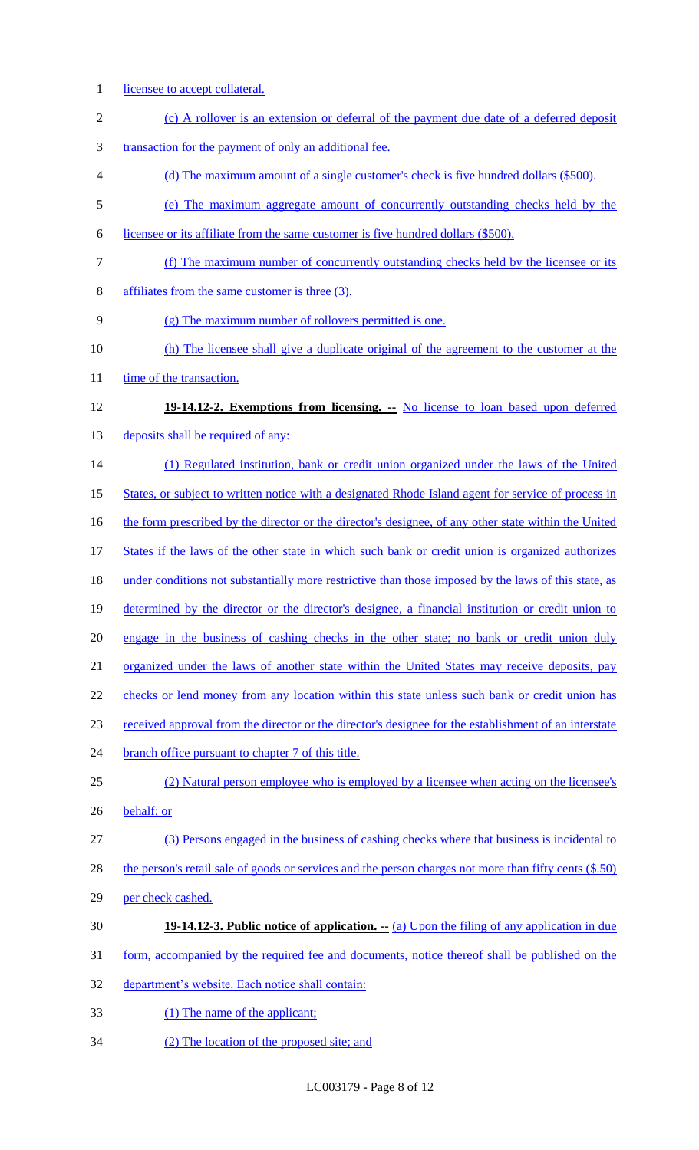1 licensee to accept collateral. 2 (c) A rollover is an extension or deferral of the payment due date of a deferred deposit transaction for the payment of only an additional fee. (d) The maximum amount of a single customer's check is five hundred dollars (\$500). (e) The maximum aggregate amount of concurrently outstanding checks held by the licensee or its affiliate from the same customer is five hundred dollars (\$500). (f) The maximum number of concurrently outstanding checks held by the licensee or its affiliates from the same customer is three (3). (g) The maximum number of rollovers permitted is one. (h) The licensee shall give a duplicate original of the agreement to the customer at the 11 time of the transaction. **19-14.12-2. Exemptions from licensing. --** No license to loan based upon deferred 13 deposits shall be required of any: (1) Regulated institution, bank or credit union organized under the laws of the United States, or subject to written notice with a designated Rhode Island agent for service of process in 16 the form prescribed by the director or the director's designee, of any other state within the United 17 States if the laws of the other state in which such bank or credit union is organized authorizes 18 under conditions not substantially more restrictive than those imposed by the laws of this state, as determined by the director or the director's designee, a financial institution or credit union to 20 engage in the business of cashing checks in the other state; no bank or credit union duly organized under the laws of another state within the United States may receive deposits, pay 22 checks or lend money from any location within this state unless such bank or credit union has received approval from the director or the director's designee for the establishment of an interstate 24 branch office pursuant to chapter 7 of this title. (2) Natural person employee who is employed by a licensee when acting on the licensee's behalf; or (3) Persons engaged in the business of cashing checks where that business is incidental to the person's retail sale of goods or services and the person charges not more than fifty cents (\$.50) per check cashed. **19-14.12-3. Public notice of application.**  $\cdot$  (a) Upon the filing of any application in due form, accompanied by the required fee and documents, notice thereof shall be published on the department's website. Each notice shall contain: (1) The name of the applicant; (2) The location of the proposed site; and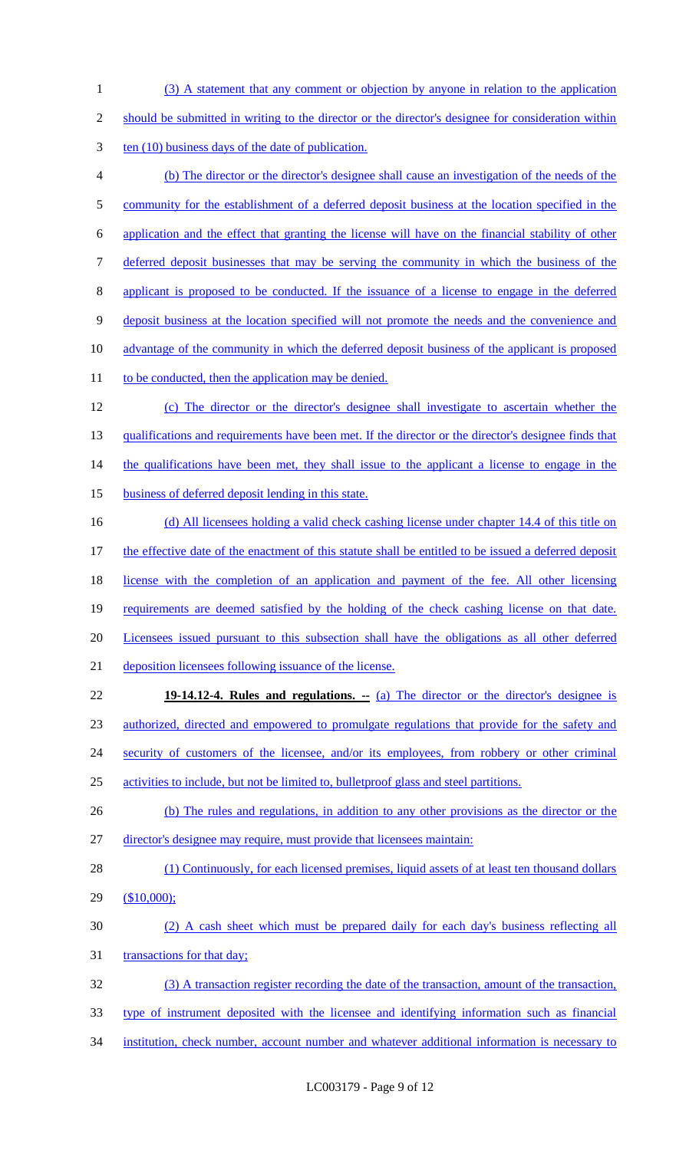(3) A statement that any comment or objection by anyone in relation to the application should be submitted in writing to the director or the director's designee for consideration within 3 ten (10) business days of the date of publication. (b) The director or the director's designee shall cause an investigation of the needs of the 5 community for the establishment of a deferred deposit business at the location specified in the application and the effect that granting the license will have on the financial stability of other deferred deposit businesses that may be serving the community in which the business of the applicant is proposed to be conducted. If the issuance of a license to engage in the deferred deposit business at the location specified will not promote the needs and the convenience and advantage of the community in which the deferred deposit business of the applicant is proposed 11 to be conducted, then the application may be denied. (c) The director or the director's designee shall investigate to ascertain whether the 13 qualifications and requirements have been met. If the director or the director's designee finds that 14 the qualifications have been met, they shall issue to the applicant a license to engage in the 15 business of deferred deposit lending in this state. (d) All licensees holding a valid check cashing license under chapter 14.4 of this title on 17 the effective date of the enactment of this statute shall be entitled to be issued a deferred deposit 18 license with the completion of an application and payment of the fee. All other licensing requirements are deemed satisfied by the holding of the check cashing license on that date. Licensees issued pursuant to this subsection shall have the obligations as all other deferred deposition licensees following issuance of the license. **19-14.12-4. Rules and regulations. --** (a) The director or the director's designee is authorized, directed and empowered to promulgate regulations that provide for the safety and 24 security of customers of the licensee, and/or its employees, from robbery or other criminal activities to include, but not be limited to, bulletproof glass and steel partitions. (b) The rules and regulations, in addition to any other provisions as the director or the director's designee may require, must provide that licensees maintain: 28 (1) Continuously, for each licensed premises, liquid assets of at least ten thousand dollars (\$10,000); (2) A cash sheet which must be prepared daily for each day's business reflecting all 31 transactions for that day; (3) A transaction register recording the date of the transaction, amount of the transaction, type of instrument deposited with the licensee and identifying information such as financial institution, check number, account number and whatever additional information is necessary to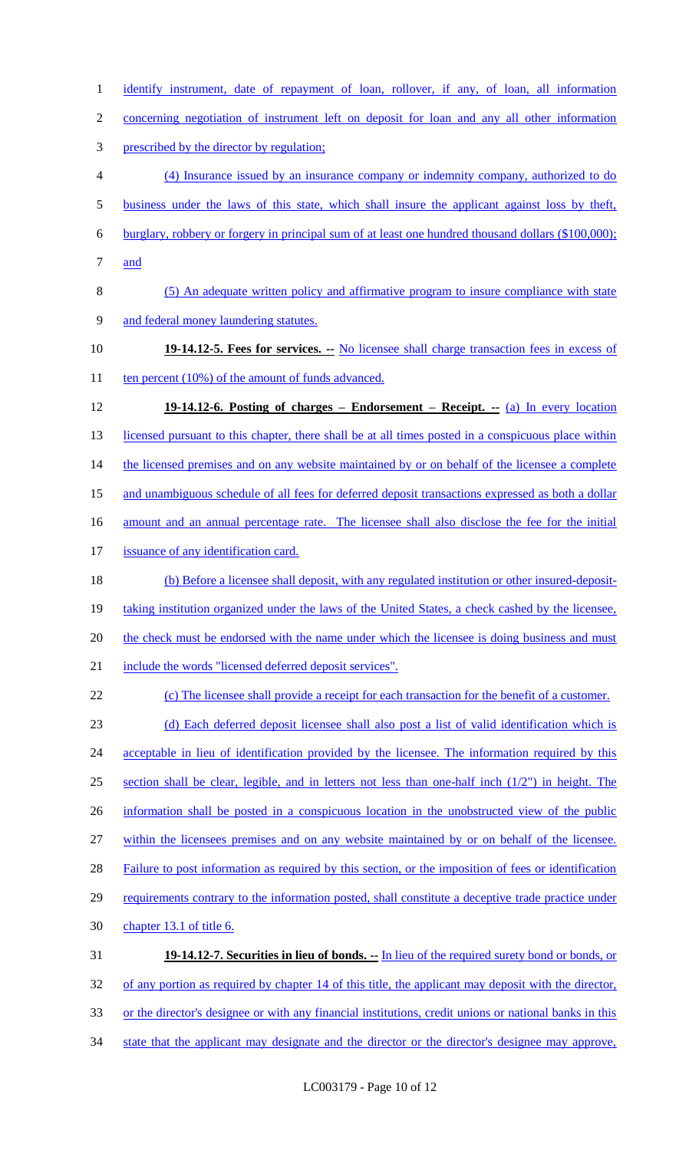identify instrument, date of repayment of loan, rollover, if any, of loan, all information

concerning negotiation of instrument left on deposit for loan and any all other information

prescribed by the director by regulation;

 (4) Insurance issued by an insurance company or indemnity company, authorized to do business under the laws of this state, which shall insure the applicant against loss by theft,

burglary, robbery or forgery in principal sum of at least one hundred thousand dollars (\$100,000);

and

 (5) An adequate written policy and affirmative program to insure compliance with state and federal money laundering statutes.

 **19-14.12-5. Fees for services. --** No licensee shall charge transaction fees in excess of 11 ten percent (10%) of the amount of funds advanced.

 **19-14.12-6. Posting of charges – Endorsement – Receipt. --** (a) In every location 13 licensed pursuant to this chapter, there shall be at all times posted in a conspicuous place within 14 the licensed premises and on any website maintained by or on behalf of the licensee a complete 15 and unambiguous schedule of all fees for deferred deposit transactions expressed as both a dollar 16 amount and an annual percentage rate. The licensee shall also disclose the fee for the initial 17 issuance of any identification card. (b) Before a licensee shall deposit, with any regulated institution or other insured-deposit-19 taking institution organized under the laws of the United States, a check cashed by the licensee, 20 the check must be endorsed with the name under which the licensee is doing business and must

include the words "licensed deferred deposit services".

(c) The licensee shall provide a receipt for each transaction for the benefit of a customer.

 (d) Each deferred deposit licensee shall also post a list of valid identification which is 24 acceptable in lieu of identification provided by the licensee. The information required by this section shall be clear, legible, and in letters not less than one-half inch (1/2") in height. The information shall be posted in a conspicuous location in the unobstructed view of the public within the licensees premises and on any website maintained by or on behalf of the licensee. Failure to post information as required by this section, or the imposition of fees or identification 29 requirements contrary to the information posted, shall constitute a deceptive trade practice under

chapter 13.1 of title 6.

 **19-14.12-7. Securities in lieu of bonds. --** In lieu of the required surety bond or bonds, or of any portion as required by chapter 14 of this title, the applicant may deposit with the director, or the director's designee or with any financial institutions, credit unions or national banks in this 34 state that the applicant may designate and the director or the director's designee may approve,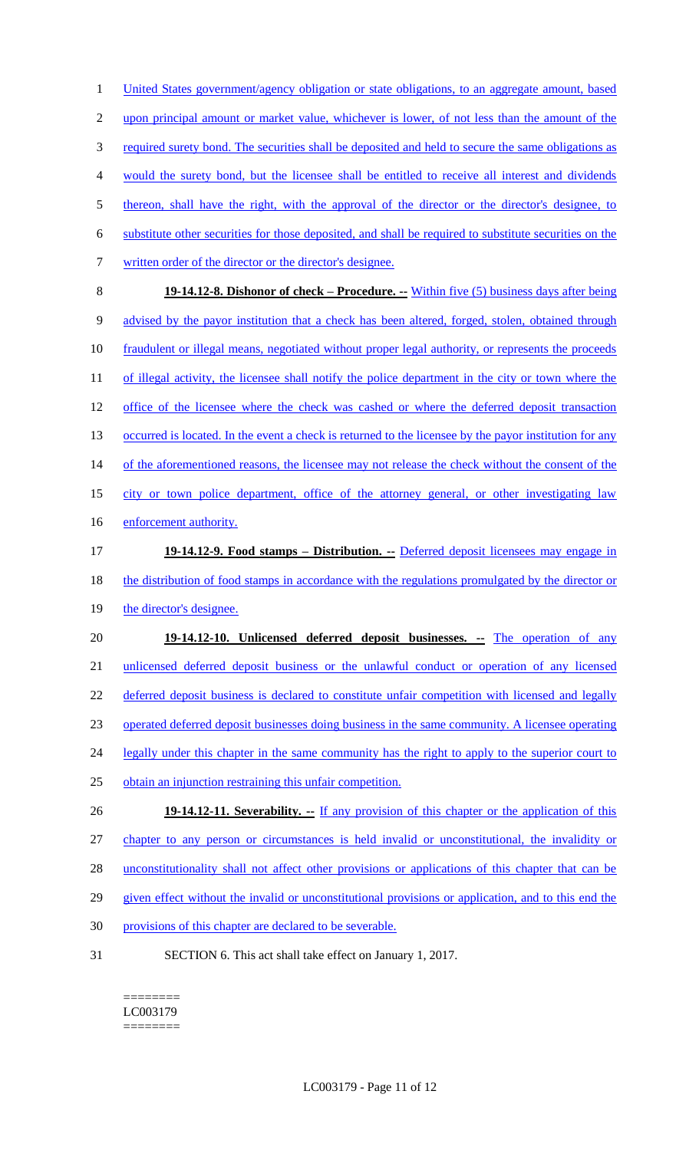1 United States government/agency obligation or state obligations, to an aggregate amount, based 2 upon principal amount or market value, whichever is lower, of not less than the amount of the 3 required surety bond. The securities shall be deposited and held to secure the same obligations as 4 would the surety bond, but the licensee shall be entitled to receive all interest and dividends 5 thereon, shall have the right, with the approval of the director or the director's designee, to 6 substitute other securities for those deposited, and shall be required to substitute securities on the 7 written order of the director or the director's designee. 8 **19-14.12-8. Dishonor of check – Procedure. --** Within five (5) business days after being 9 advised by the payor institution that a check has been altered, forged, stolen, obtained through 10 fraudulent or illegal means, negotiated without proper legal authority, or represents the proceeds 11 of illegal activity, the licensee shall notify the police department in the city or town where the 12 office of the licensee where the check was cashed or where the deferred deposit transaction 13 occurred is located. In the event a check is returned to the licensee by the payor institution for any 14 of the aforementioned reasons, the licensee may not release the check without the consent of the 15 city or town police department, office of the attorney general, or other investigating law 16 enforcement authority. 17 **19-14.12-9. Food stamps – Distribution. --** Deferred deposit licensees may engage in 18 the distribution of food stamps in accordance with the regulations promulgated by the director or 19 the director's designee. 20 **19-14.12-10. Unlicensed deferred deposit businesses. --** The operation of any 21 unlicensed deferred deposit business or the unlawful conduct or operation of any licensed 22 deferred deposit business is declared to constitute unfair competition with licensed and legally 23 operated deferred deposit businesses doing business in the same community. A licensee operating 24 legally under this chapter in the same community has the right to apply to the superior court to 25 obtain an injunction restraining this unfair competition. 26 **19-14.12-11. Severability.** -- If any provision of this chapter or the application of this 27 chapter to any person or circumstances is held invalid or unconstitutional, the invalidity or 28 unconstitutionality shall not affect other provisions or applications of this chapter that can be 29 given effect without the invalid or unconstitutional provisions or application, and to this end the 30 provisions of this chapter are declared to be severable.

31 SECTION 6. This act shall take effect on January 1, 2017.

======== LC003179 ========